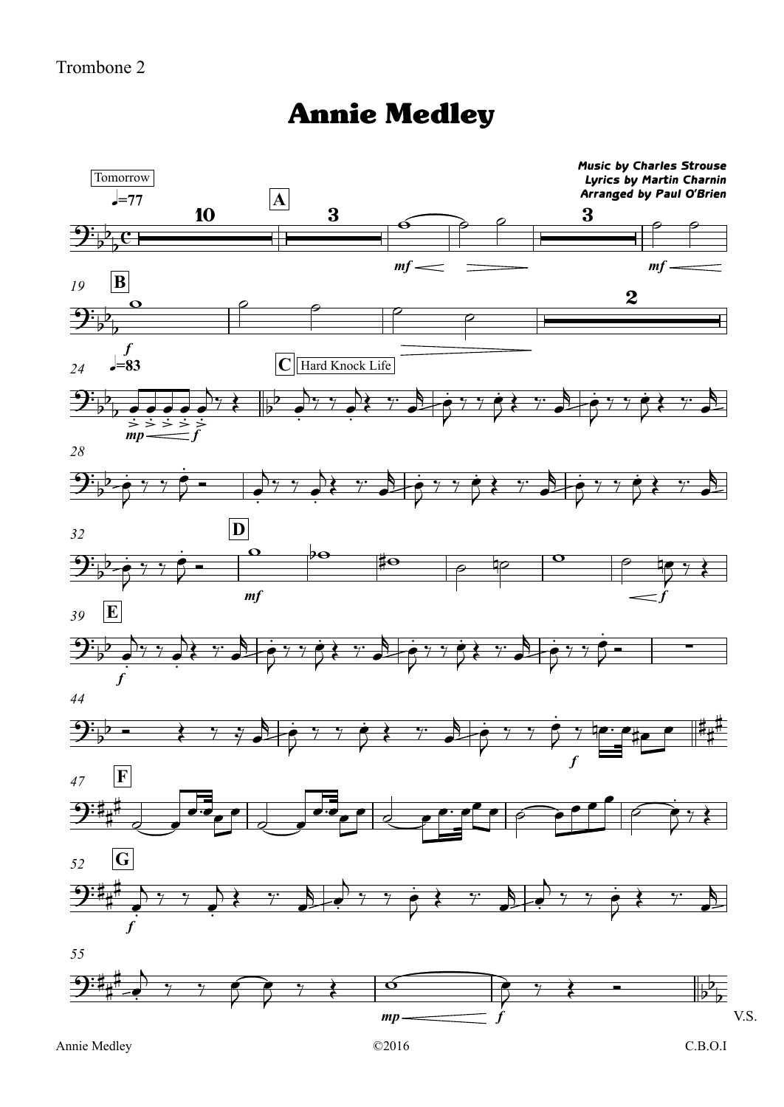## Annie Medley